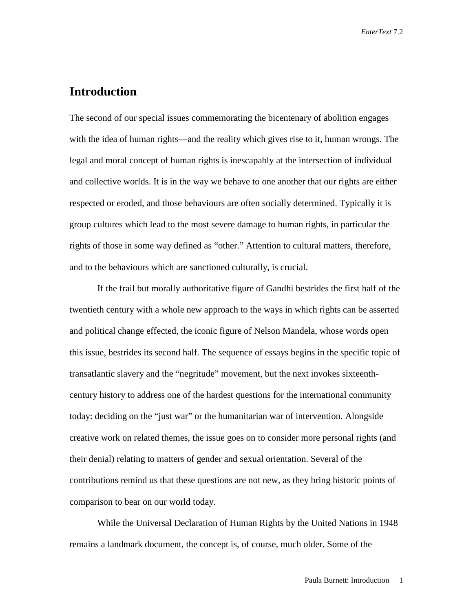## **Introduction**

The second of our special issues commemorating the bicentenary of abolition engages with the idea of human rights—and the reality which gives rise to it, human wrongs. The legal and moral concept of human rights is inescapably at the intersection of individual and collective worlds. It is in the way we behave to one another that our rights are either respected or eroded, and those behaviours are often socially determined. Typically it is group cultures which lead to the most severe damage to human rights, in particular the rights of those in some way defined as "other." Attention to cultural matters, therefore, and to the behaviours which are sanctioned culturally, is crucial.

If the frail but morally authoritative figure of Gandhi bestrides the first half of the twentieth century with a whole new approach to the ways in which rights can be asserted and political change effected, the iconic figure of Nelson Mandela, whose words open this issue, bestrides its second half. The sequence of essays begins in the specific topic of transatlantic slavery and the "negritude" movement, but the next invokes sixteenthcentury history to address one of the hardest questions for the international community today: deciding on the "just war" or the humanitarian war of intervention. Alongside creative work on related themes, the issue goes on to consider more personal rights (and their denial) relating to matters of gender and sexual orientation. Several of the contributions remind us that these questions are not new, as they bring historic points of comparison to bear on our world today.

While the Universal Declaration of Human Rights by the United Nations in 1948 remains a landmark document, the concept is, of course, much older. Some of the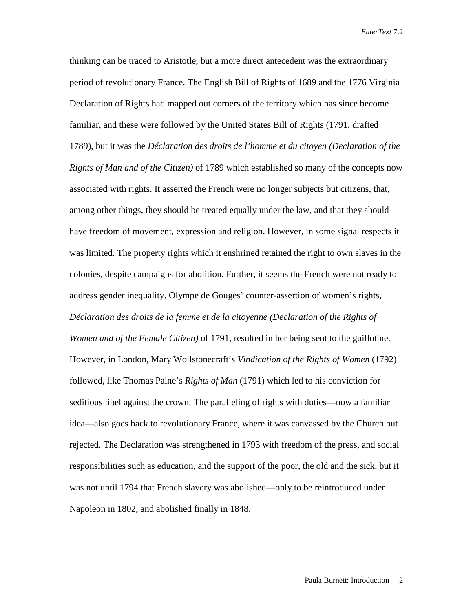thinking can be traced to Aristotle, but a more direct antecedent was the extraordinary period of revolutionary France. The English Bill of Rights of 1689 and the 1776 Virginia Declaration of Rights had mapped out corners of the territory which has since become familiar, and these were followed by the United States Bill of Rights (1791, drafted 1789), but it was the *Déclaration des droits de l'homme et du citoyen (Declaration of the Rights of Man and of the Citizen)* of 1789 which established so many of the concepts now associated with rights. It asserted the French were no longer subjects but citizens, that, among other things, they should be treated equally under the law, and that they should have freedom of movement, expression and religion. However, in some signal respects it was limited. The property rights which it enshrined retained the right to own slaves in the colonies, despite campaigns for abolition. Further, it seems the French were not ready to address gender inequality. Olympe de Gouges' counter-assertion of women's rights, *Déclaration des droits de la femme et de la citoyenne (Declaration of the Rights of Women and of the Female Citizen)* of 1791, resulted in her being sent to the guillotine. However, in London, Mary Wollstonecraft's *Vindication of the Rights of Women* (1792) followed, like Thomas Paine's *Rights of Man* (1791) which led to his conviction for seditious libel against the crown. The paralleling of rights with duties—now a familiar idea—also goes back to revolutionary France, where it was canvassed by the Church but rejected. The Declaration was strengthened in 1793 with freedom of the press, and social responsibilities such as education, and the support of the poor, the old and the sick, but it was not until 1794 that French slavery was abolished—only to be reintroduced under Napoleon in 1802, and abolished finally in 1848.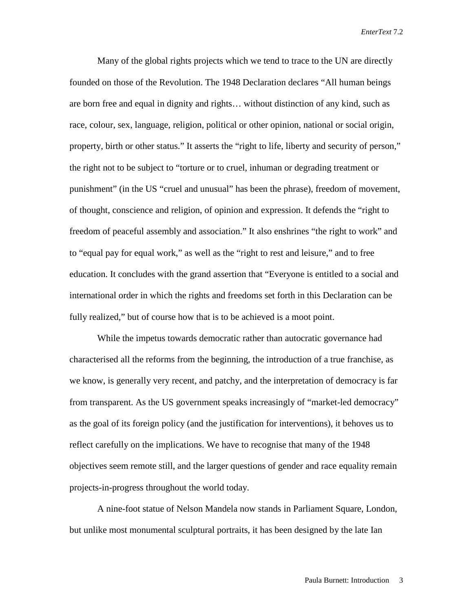Many of the global rights projects which we tend to trace to the UN are directly founded on those of the Revolution. The 1948 Declaration declares "All human beings are born free and equal in dignity and rights… without distinction of any kind, such as race, colour, sex, language, religion, political or other opinion, national or social origin, property, birth or other status." It asserts the "right to life, liberty and security of person," the right not to be subject to "torture or to cruel, inhuman or degrading treatment or punishment" (in the US "cruel and unusual" has been the phrase), freedom of movement, of thought, conscience and religion, of opinion and expression. It defends the "right to freedom of peaceful assembly and association." It also enshrines "the right to work" and to "equal pay for equal work," as well as the "right to rest and leisure," and to free education. It concludes with the grand assertion that "Everyone is entitled to a social and international order in which the rights and freedoms set forth in this Declaration can be fully realized," but of course how that is to be achieved is a moot point.

While the impetus towards democratic rather than autocratic governance had characterised all the reforms from the beginning, the introduction of a true franchise, as we know, is generally very recent, and patchy, and the interpretation of democracy is far from transparent. As the US government speaks increasingly of "market-led democracy" as the goal of its foreign policy (and the justification for interventions), it behoves us to reflect carefully on the implications. We have to recognise that many of the 1948 objectives seem remote still, and the larger questions of gender and race equality remain projects-in-progress throughout the world today.

A nine-foot statue of Nelson Mandela now stands in Parliament Square, London, but unlike most monumental sculptural portraits, it has been designed by the late Ian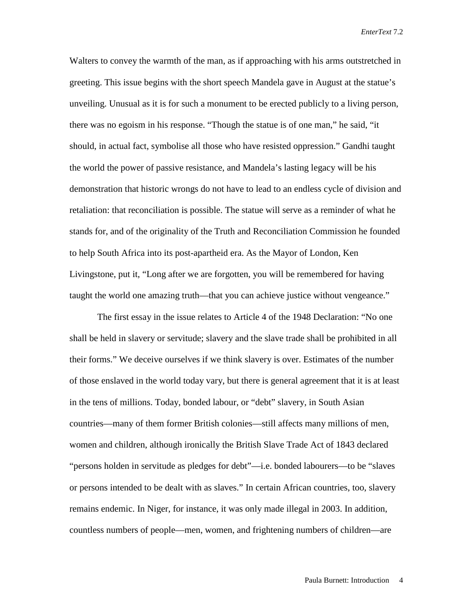Walters to convey the warmth of the man, as if approaching with his arms outstretched in greeting. This issue begins with the short speech Mandela gave in August at the statue's unveiling. Unusual as it is for such a monument to be erected publicly to a living person, there was no egoism in his response. "Though the statue is of one man," he said, "it should, in actual fact, symbolise all those who have resisted oppression." Gandhi taught the world the power of passive resistance, and Mandela's lasting legacy will be his demonstration that historic wrongs do not have to lead to an endless cycle of division and retaliation: that reconciliation is possible. The statue will serve as a reminder of what he stands for, and of the originality of the Truth and Reconciliation Commission he founded to help South Africa into its post-apartheid era. As the Mayor of London, Ken Livingstone, put it, "Long after we are forgotten, you will be remembered for having taught the world one amazing truth—that you can achieve justice without vengeance."

The first essay in the issue relates to Article 4 of the 1948 Declaration: "No one shall be held in slavery or servitude; slavery and the slave trade shall be prohibited in all their forms." We deceive ourselves if we think slavery is over. Estimates of the number of those enslaved in the world today vary, but there is general agreement that it is at least in the tens of millions. Today, bonded labour, or "debt" slavery, in South Asian countries—many of them former British colonies—still affects many millions of men, women and children, although ironically the British Slave Trade Act of 1843 declared "persons holden in servitude as pledges for debt"—i.e. bonded labourers—to be "slaves or persons intended to be dealt with as slaves." In certain African countries, too, slavery remains endemic. In Niger, for instance, it was only made illegal in 2003. In addition, countless numbers of people—men, women, and frightening numbers of children—are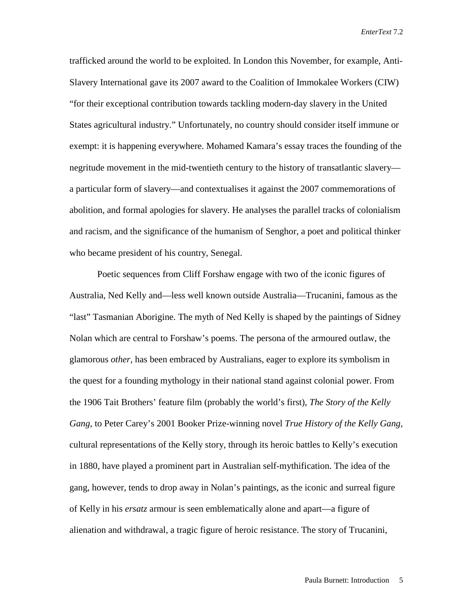trafficked around the world to be exploited. In London this November, for example, Anti-Slavery International gave its 2007 award to the Coalition of Immokalee Workers (CIW) "for their exceptional contribution towards tackling modern-day slavery in the United States agricultural industry." Unfortunately, no country should consider itself immune or exempt: it is happening everywhere. Mohamed Kamara's essay traces the founding of the negritude movement in the mid-twentieth century to the history of transatlantic slavery a particular form of slavery—and contextualises it against the 2007 commemorations of abolition, and formal apologies for slavery. He analyses the parallel tracks of colonialism and racism, and the significance of the humanism of Senghor, a poet and political thinker who became president of his country, Senegal.

Poetic sequences from Cliff Forshaw engage with two of the iconic figures of Australia, Ned Kelly and—less well known outside Australia—Trucanini, famous as the "last" Tasmanian Aborigine. The myth of Ned Kelly is shaped by the paintings of Sidney Nolan which are central to Forshaw's poems. The persona of the armoured outlaw, the glamorous *other,* has been embraced by Australians, eager to explore its symbolism in the quest for a founding mythology in their national stand against colonial power. From the 1906 Tait Brothers' feature film (probably the world's first), *The Story of the Kelly Gang*, to Peter Carey's 2001 Booker Prize-winning novel *True History of the Kelly Gang,*  cultural representations of the Kelly story, through its heroic battles to Kelly's execution in 1880, have played a prominent part in Australian self-mythification. The idea of the gang, however, tends to drop away in Nolan's paintings, as the iconic and surreal figure of Kelly in his *ersatz* armour is seen emblematically alone and apart—a figure of alienation and withdrawal, a tragic figure of heroic resistance. The story of Trucanini,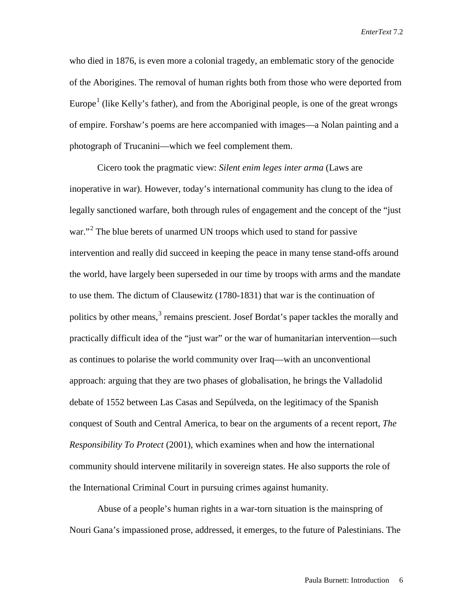who died in 1876, is even more a colonial tragedy, an emblematic story of the genocide of the Aborigines. The removal of human rights both from those who were deported from Europe<sup>[1](#page-9-0)</sup> (like Kelly's father), and from the Aboriginal people, is one of the great wrongs of empire. Forshaw's poems are here accompanied with images—a Nolan painting and a photograph of Trucanini—which we feel complement them.

Cicero took the pragmatic view: *Silent enim leges inter arma* (Laws are inoperative in war). However, today's international community has clung to the idea of legally sanctioned warfare, both through rules of engagement and the concept of the "just war."<sup>[2](#page-9-1)</sup> The blue berets of unarmed UN troops which used to stand for passive intervention and really did succeed in keeping the peace in many tense stand-offs around the world, have largely been superseded in our time by troops with arms and the mandate to use them. The dictum of Clausewitz (1780-1831) that war is the continuation of politics by other means,<sup>[3](#page-9-2)</sup> remains prescient. Josef Bordat's paper tackles the morally and practically difficult idea of the "just war" or the war of humanitarian intervention—such as continues to polarise the world community over Iraq—with an unconventional approach: arguing that they are two phases of globalisation, he brings the Valladolid debate of 1552 between Las Casas and Sepúlveda, on the legitimacy of the Spanish conquest of South and Central America, to bear on the arguments of a recent report, *The Responsibility To Protect* (2001), which examines when and how the international community should intervene militarily in sovereign states. He also supports the role of the International Criminal Court in pursuing crimes against humanity.

Abuse of a people's human rights in a war-torn situation is the mainspring of Nouri Gana's impassioned prose, addressed, it emerges, to the future of Palestinians. The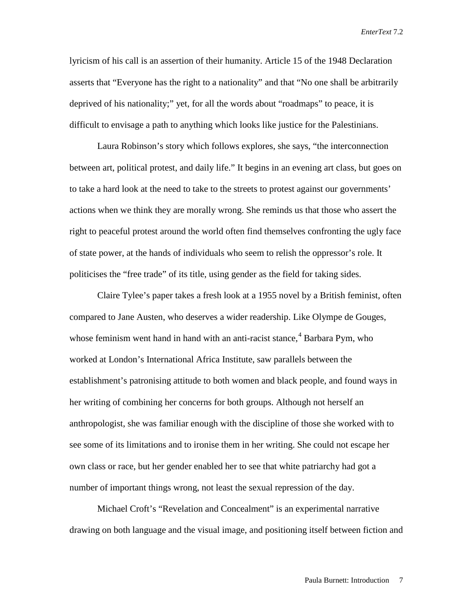lyricism of his call is an assertion of their humanity. Article 15 of the 1948 Declaration asserts that "Everyone has the right to a nationality" and that "No one shall be arbitrarily deprived of his nationality;" yet, for all the words about "roadmaps" to peace, it is difficult to envisage a path to anything which looks like justice for the Palestinians.

Laura Robinson's story which follows explores, she says, "the interconnection between art, political protest, and daily life." It begins in an evening art class, but goes on to take a hard look at the need to take to the streets to protest against our governments' actions when we think they are morally wrong. She reminds us that those who assert the right to peaceful protest around the world often find themselves confronting the ugly face of state power, at the hands of individuals who seem to relish the oppressor's role. It politicises the "free trade" of its title, using gender as the field for taking sides.

Claire Tylee's paper takes a fresh look at a 1955 novel by a British feminist, often compared to Jane Austen, who deserves a wider readership. Like Olympe de Gouges, whose feminism went hand in hand with an anti-racist stance,<sup>[4](#page-9-3)</sup> Barbara Pym, who worked at London's International Africa Institute, saw parallels between the establishment's patronising attitude to both women and black people, and found ways in her writing of combining her concerns for both groups. Although not herself an anthropologist, she was familiar enough with the discipline of those she worked with to see some of its limitations and to ironise them in her writing. She could not escape her own class or race, but her gender enabled her to see that white patriarchy had got a number of important things wrong, not least the sexual repression of the day.

Michael Croft's "Revelation and Concealment" is an experimental narrative drawing on both language and the visual image, and positioning itself between fiction and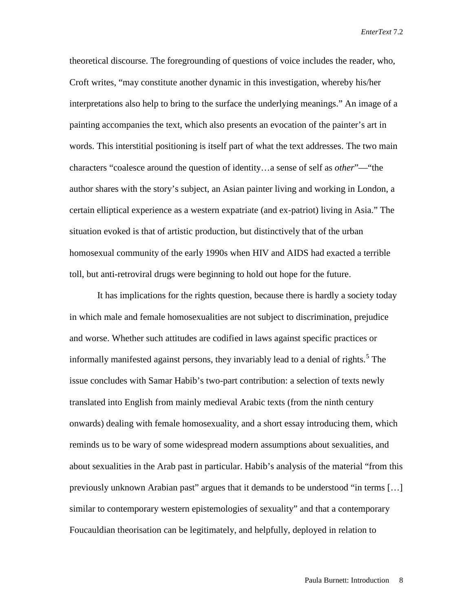theoretical discourse. The foregrounding of questions of voice includes the reader, who, Croft writes, "may constitute another dynamic in this investigation, whereby his/her interpretations also help to bring to the surface the underlying meanings." An image of a painting accompanies the text, which also presents an evocation of the painter's art in words. This interstitial positioning is itself part of what the text addresses. The two main characters "coalesce around the question of identity…a sense of self as *other*"—"the author shares with the story's subject, an Asian painter living and working in London, a certain elliptical experience as a western expatriate (and ex-patriot) living in Asia." The situation evoked is that of artistic production, but distinctively that of the urban homosexual community of the early 1990s when HIV and AIDS had exacted a terrible toll, but anti-retroviral drugs were beginning to hold out hope for the future.

It has implications for the rights question, because there is hardly a society today in which male and female homosexualities are not subject to discrimination, prejudice and worse. Whether such attitudes are codified in laws against specific practices or informally manifested against persons, they invariably lead to a denial of rights.<sup>[5](#page-9-4)</sup> The issue concludes with Samar Habib's two-part contribution: a selection of texts newly translated into English from mainly medieval Arabic texts (from the ninth century onwards) dealing with female homosexuality, and a short essay introducing them, which reminds us to be wary of some widespread modern assumptions about sexualities, and about sexualities in the Arab past in particular. Habib's analysis of the material "from this previously unknown Arabian past" argues that it demands to be understood "in terms […] similar to contemporary western epistemologies of sexuality" and that a contemporary Foucauldian theorisation can be legitimately, and helpfully, deployed in relation to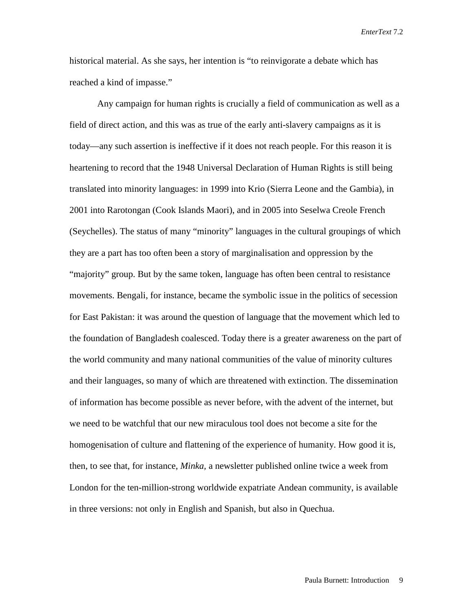historical material. As she says, her intention is "to reinvigorate a debate which has reached a kind of impasse."

Any campaign for human rights is crucially a field of communication as well as a field of direct action, and this was as true of the early anti-slavery campaigns as it is today—any such assertion is ineffective if it does not reach people. For this reason it is heartening to record that the 1948 Universal Declaration of Human Rights is still being translated into minority languages: in 1999 into Krio (Sierra Leone and the Gambia), in 2001 into Rarotongan (Cook Islands Maori), and in 2005 into Seselwa Creole French (Seychelles). The status of many "minority" languages in the cultural groupings of which they are a part has too often been a story of marginalisation and oppression by the "majority" group. But by the same token, language has often been central to resistance movements. Bengali, for instance, became the symbolic issue in the politics of secession for East Pakistan: it was around the question of language that the movement which led to the foundation of Bangladesh coalesced. Today there is a greater awareness on the part of the world community and many national communities of the value of minority cultures and their languages, so many of which are threatened with extinction. The dissemination of information has become possible as never before, with the advent of the internet, but we need to be watchful that our new miraculous tool does not become a site for the homogenisation of culture and flattening of the experience of humanity. How good it is, then, to see that, for instance, *Minka,* a newsletter published online twice a week from London for the ten-million-strong worldwide expatriate Andean community, is available in three versions: not only in English and Spanish, but also in Quechua.